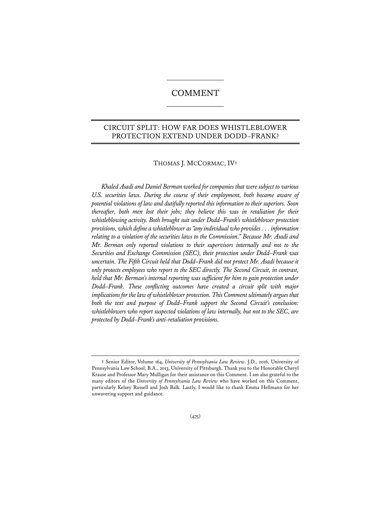# COMMENT

## CIRCUIT SPLIT: HOW FAR DOES WHISTLEBLOWER PROTECTION EXTEND UNDER DODD–FRANK?

## THOMAS J. MCCORMAC, IV**†**

*Khaled Asadi and Daniel Berman worked for companies that were subject to various U.S. securities laws. During the course of their employment, both became aware of potential violations of law and dutifully reported this information to their superiors. Soon thereafter, both men lost their jobs; they believe this was in retaliation for their whistleblowing activity. Both brought suit under Dodd–Frank's whistleblower protection provisions, which define a whistleblower as "any individual who provides . . . information relating to a violation of the securities laws to the Commission." Because Mr. Asadi and Mr. Berman only reported violations to their supervisors internally and not to the Securities and Exchange Commission (SEC), their protection under Dodd–Frank was uncertain. The Fifth Circuit held that Dodd–Frank did not protect Mr. Asadi because it only protects employees who report to the SEC directly. The Second Circuit, in contrast, held that Mr. Berman's internal reporting was sufficient for him to gain protection under Dodd–Frank. These conflicting outcomes have created a circuit split with major implications for the law of whistleblower protection. This Comment ultimately argues that both the text and purpose of Dodd–Frank support the Second Circuit's conclusion: whistleblowers who report suspected violations of law internally, but not to the SEC, are protected by Dodd–Frank's anti-retaliation provisions.* 

**<sup>†</sup>** Senior Editor, Volume 164, *University of Pennsylvania Law Review*. J.D., 2016, University of Pennsylvania Law School; B.A., 2013, University of Pittsburgh. Thank you to the Honorable Cheryl Krause and Professor Mary Mulligan for their assistance on this Comment. I am also grateful to the many editors of the *University of Pennsylvania Law Review* who have worked on this Comment, particularly Kelsey Russell and Josh Balk. Lastly, I would like to thank Emma Hellmann for her unwavering support and guidance.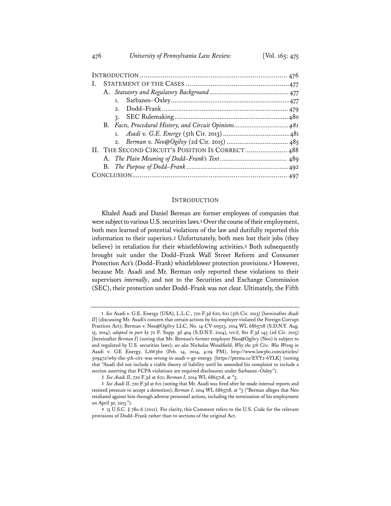| 1.                                               |
|--------------------------------------------------|
| 2.                                               |
| $\mathcal{R}$ .                                  |
|                                                  |
|                                                  |
|                                                  |
| II. THE SECOND CIRCUIT'S POSITION IS CORRECT 488 |
|                                                  |
|                                                  |
|                                                  |

#### INTRODUCTION

Khaled Asadi and Daniel Berman are former employees of companies that were subject to various U.S. securities laws.**<sup>1</sup>** Over the course of their employment, both men learned of potential violations of the law and dutifully reported this information to their superiors.**<sup>2</sup>** Unfortunately, both men lost their jobs (they believe) in retaliation for their whistleblowing activities.**<sup>3</sup>** Both subsequently brought suit under the Dodd–Frank Wall Street Reform and Consumer Protection Act's (Dodd–Frank) whistleblower protection provisions.**<sup>4</sup>** However, because Mr. Asadi and Mr. Berman only reported these violations to their supervisors *internally*, and not to the Securities and Exchange Commission (SEC), their protection under Dodd–Frank was not clear. Ultimately, the Fifth

**<sup>1</sup>** *See* Asadi v. G.E. Energy (USA), L.L.C., 720 F.3d 620, 621 (5th Cir. 2013) [hereinafter *Asadi II*] (discussing Mr. Asadi's concern that certain actions by his employer violated the Foreign Corrupt Practices Act); Berman v. Neo@Ogilvy LLC, No. 14-CV-00523, 2014 WL 6865718 (S.D.N.Y. Aug. 15, 2014), *adopted in part by* 72 F. Supp. 3d 404 (S.D.N.Y. 2014), *rev'd*, 801 F.3d 145 (2d Cir. 2015) [hereinafter *Berman I*] (noting that Mr. Berman's former employer Neo@Ogilvy (Neo) is subject to and regulated by U.S. securities laws); *see also* Nicholas Woodfield, *Why the 5th Circ. Was Wrong in*  Asadi v. GE Energy, LAW360 (Feb. 14, 2014, 4:09 PM), http://www.law360.com/articles/ 509472/why-the-5th-circ-was-wrong-in-asadi-v-ge-energy [https://perma.cc/EYY2-6YLK] (noting that "Asadi did not include a viable theory of liability until he amended his complaint to include a section asserting that FCPA violations are required disclosures under Sarbanes–Oxley").

**<sup>2</sup>** *See Asadi II*, 720 F.3d at 621; *Berman I*, 2014 WL 6865718, at \*3.

**<sup>3</sup>** *See Asadi II*, 720 F.3d at 621 (noting that Mr. Asadi was fired after he made internal reports and resisted pressure to accept a demotion); *Berman I*, 2014 WL 6865718, at \*3 ("Berman alleges that Neo retaliated against him through adverse personnel actions, including the termination of his employment on April 30, 2013.").

**<sup>4</sup>** 15 U.S.C. § 78u-6 (2012). For clarity, this Comment refers to the U.S. Code for the relevant provisions of Dodd–Frank rather than to sections of the original Act.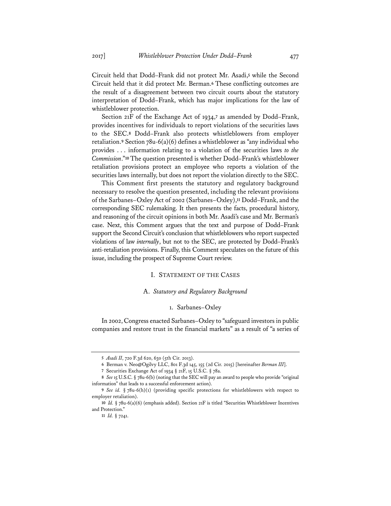Circuit held that Dodd–Frank did not protect Mr. Asadi,**<sup>5</sup>** while the Second Circuit held that it did protect Mr. Berman.**<sup>6</sup>** These conflicting outcomes are the result of a disagreement between two circuit courts about the statutory interpretation of Dodd–Frank, which has major implications for the law of whistleblower protection.

Section 21F of the Exchange Act of 1934,**<sup>7</sup>** as amended by Dodd–Frank, provides incentives for individuals to report violations of the securities laws to the SEC.**<sup>8</sup>** Dodd–Frank also protects whistleblowers from employer retaliation.**<sup>9</sup>** Section 78u-6(a)(6) defines a whistleblower as "any individual who provides . . . information relating to a violation of the securities laws *to the Commission*."**<sup>10</sup>** The question presented is whether Dodd–Frank's whistleblower retaliation provisions protect an employee who reports a violation of the securities laws internally, but does not report the violation directly to the SEC.

This Comment first presents the statutory and regulatory background necessary to resolve the question presented, including the relevant provisions of the Sarbanes–Oxley Act of 2002 (Sarbanes–Oxley),**<sup>11</sup>** Dodd–Frank, and the corresponding SEC rulemaking. It then presents the facts, procedural history, and reasoning of the circuit opinions in both Mr. Asadi's case and Mr. Berman's case. Next, this Comment argues that the text and purpose of Dodd–Frank support the Second Circuit's conclusion that whistleblowers who report suspected violations of law *internally*, but not to the SEC, are protected by Dodd–Frank's anti-retaliation provisions. Finally, this Comment speculates on the future of this issue, including the prospect of Supreme Court review.

## I. STATEMENT OF THE CASES

#### A. *Statutory and Regulatory Background*

## 1. Sarbanes–Oxley

In 2002, Congress enacted Sarbanes–Oxley to "safeguard investors in public companies and restore trust in the financial markets" as a result of "a series of

**<sup>5</sup>** *Asadi II*, 720 F.3d 620, 630 (5th Cir. 2013).

**<sup>6</sup>** Berman v. Neo@Ogilvy LLC, 801 F.3d 145, 155 (2d Cir. 2015) [hereinafter *Berman III*].

**<sup>7</sup>** Securities Exchange Act of 1934 § 21F, 15 U.S.C. § 78a.

**<sup>8</sup>** *See* 15 U.S.C. § 78u-6(b) (noting that the SEC will pay an award to people who provide "original information" that leads to a successful enforcement action).

**<sup>9</sup>** *See id.* § 78u-6(h)(1) (providing specific protections for whistleblowers with respect to employer retaliation).

**<sup>10</sup>** *Id.* § 78u-6(a)(6) (emphasis added). Section 21F is titled "Securities Whistleblower Incentives and Protection."

**<sup>11</sup>** *Id.* § 7241.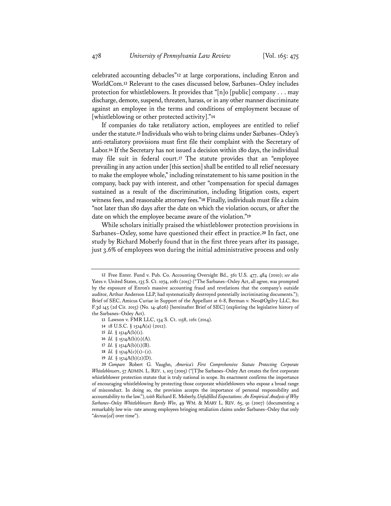celebrated accounting debacles"**<sup>12</sup>** at large corporations, including Enron and WorldCom.**<sup>13</sup>** Relevant to the cases discussed below, Sarbanes–Oxley includes protection for whistleblowers. It provides that "[n]o [public] company . . . may discharge, demote, suspend, threaten, harass, or in any other manner discriminate against an employee in the terms and conditions of employment because of [whistleblowing or other protected activity]."**<sup>14</sup>**

If companies do take retaliatory action, employees are entitled to relief under the statute.**<sup>15</sup>** Individuals who wish to bring claims under Sarbanes–Oxley's anti-retaliatory provisions must first file their complaint with the Secretary of Labor.**<sup>16</sup>** If the Secretary has not issued a decision within 180 days, the individual may file suit in federal court.**<sup>17</sup>** The statute provides that an "employee prevailing in any action under [this section] shall be entitled to all relief necessary to make the employee whole," including reinstatement to his same position in the company, back pay with interest, and other "compensation for special damages sustained as a result of the discrimination, including litigation costs, expert witness fees, and reasonable attorney fees."**<sup>18</sup>** Finally, individuals must file a claim "not later than 180 days after the date on which the violation occurs, or after the date on which the employee became aware of the violation."**<sup>19</sup>**

While scholars initially praised the whistleblower protection provisions in Sarbanes–Oxley, some have questioned their effect in practice.**<sup>20</sup>** In fact, one study by Richard Moberly found that in the first three years after its passage, just 3.6% of employees won during the initial administrative process and only

- **17** *Id.* § 1514A(b)(1)(B).
- **18** *Id.* § 1514A(c)(1)–(2).
- **19** *Id.* § 1514A(b)(2)(D).

**<sup>12</sup>** Free Enter. Fund v. Pub. Co. Accounting Oversight Bd., 561 U.S. 477, 484 (2010); *see also*  Yates v. United States, 135 S. Ct. 1074, 1081 (2015) ("The Sarbanes–Oxley Act, all agree, was prompted by the exposure of Enron's massive accounting fraud and revelations that the company's outside auditor, Arthur Anderson LLP, had systematically destroyed potentially incriminating documents."); Brief of SEC, Amicus Curiae in Support of the Appellant at 6-8, Berman v. Neo@Ogilvy LLC, 801 F.3d 145 (2d Cir. 2015) (No. 14-4626) [hereinafter Brief of SEC] (exploring the legislative history of the Sarbanes–Oxley Act).

**<sup>13</sup>** Lawson v. FMR LLC, 134 S. Ct. 1158, 1161 (2014).

**<sup>14</sup>** 18 U.S.C. § 1514A(a) (2012).

**<sup>15</sup>** *Id.* § 1514A(b)(1).

**<sup>16</sup>** *Id.* § 1514A(b)(1)(A).

**<sup>20</sup>** *Compare* Robert G. Vaughn, *America's First Comprehensive Statute Protecting Corporate Whistleblowers*, 57 ADMIN. L. REV. 1, 103 (2005) ("[T]he Sarbanes–Oxley Act creates the first corporate whistleblower protection statute that is truly national in scope. Its enactment confirms the importance of encouraging whistleblowing by protecting those corporate whistleblowers who expose a broad range of misconduct. In doing so, the provision accepts the importance of personal responsibility and accountability to the law."), *with* Richard E. Moberly, *Unfulfilled Expectations: An Empirical Analysis of Why Sarbanes–Oxley Whistleblowers Rarely Win*, 49 WM. & MARY L. REV. 65, 91 (2007) (documenting a remarkably low win- rate among employees bringing retaliation claims under Sarbanes–Oxley that only "*decreas*[*ed*] over time").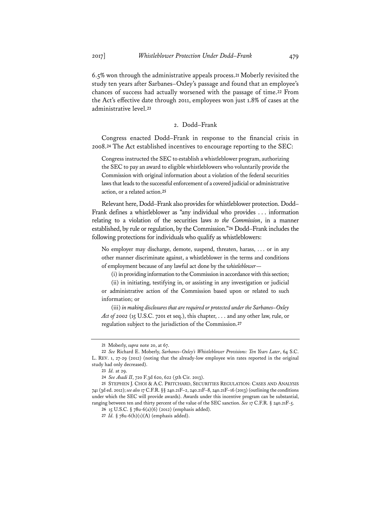6.5% won through the administrative appeals process.**<sup>21</sup>** Moberly revisited the study ten years after Sarbanes–Oxley's passage and found that an employee's chances of success had actually worsened with the passage of time.**<sup>22</sup>** From the Act's effective date through 2011, employees won just 1.8% of cases at the administrative level.**<sup>23</sup>**

## 2. Dodd–Frank

Congress enacted Dodd–Frank in response to the financial crisis in 2008.**<sup>24</sup>** The Act established incentives to encourage reporting to the SEC:

Congress instructed the SEC to establish a whistleblower program, authorizing the SEC to pay an award to eligible whistleblowers who voluntarily provide the Commission with original information about a violation of the federal securities laws that leads to the successful enforcement of a covered judicial or administrative action, or a related action.**<sup>25</sup>**

Relevant here, Dodd–Frank also provides for whistleblower protection. Dodd– Frank defines a whistleblower as "any individual who provides . . . information relating to a violation of the securities laws *to the Commission*, in a manner established, by rule or regulation, by the Commission."**<sup>26</sup>** Dodd–Frank includes the following protections for individuals who qualify as whistleblowers:

No employer may discharge, demote, suspend, threaten, harass, . . . or in any other manner discriminate against, a whistleblower in the terms and conditions of employment because of any lawful act done by the *whistleblower*—

(i) in providing information to the Commission in accordance with this section;

(ii) in initiating, testifying in, or assisting in any investigation or judicial or administrative action of the Commission based upon or related to such information; or

(iii) *in making disclosures that are required or protected under the Sarbanes–Oxley Act of 2002* (15 U.S.C. 7201 et seq.), this chapter, . . . and any other law, rule, or regulation subject to the jurisdiction of the Commission.**<sup>27</sup>**

**<sup>21</sup>** Moberly, *supra* note 20, at 67.

**<sup>22</sup>** *See* Richard E. Moberly, *Sarbanes–Oxley's Whistleblower Provisions: Ten Years Later*, 64 S.C. L. REV. 1, 27-29 (2012) (noting that the already-low employee win rates reported in the original study had only decreased).

**<sup>23</sup>** *Id.* at 29.

**<sup>24</sup>** *See Asadi II*, 720 F.3d 620, 622 (5th Cir. 2013).

**<sup>25</sup>** STEPHEN J. CHOI & A.C. PRITCHARD, SECURITIES REGULATION: CASES AND ANALYSIS 741 (3d ed. 2012); *see also* 17 C.F.R. §§ 240.21F–2, 240.21F–8, 240.21F–16 (2013) (outlining the conditions under which the SEC will provide awards). Awards under this incentive program can be substantial, ranging between ten and thirty percent of the value of the SEC sanction. *See* 17 C.F.R. § 240.21F-5.

**<sup>26</sup>** 15 U.S.C. § 78u-6(a)(6) (2012) (emphasis added).

**<sup>27</sup>** *Id.* § 78u-6(h)(1)(A) (emphasis added).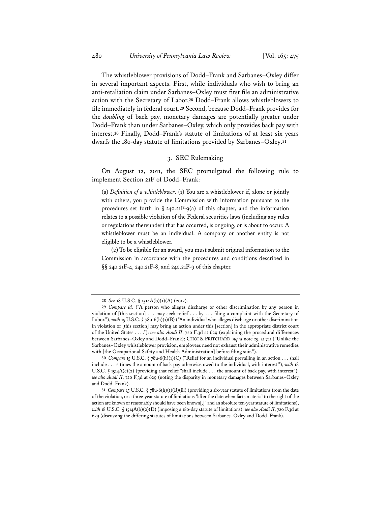The whistleblower provisions of Dodd–Frank and Sarbanes–Oxley differ in several important aspects. First, while individuals who wish to bring an anti-retaliation claim under Sarbanes–Oxley must first file an administrative action with the Secretary of Labor,**<sup>28</sup>** Dodd–Frank allows whistleblowers to file immediately in federal court.**<sup>29</sup>** Second, because Dodd–Frank provides for the *doubling* of back pay, monetary damages are potentially greater under Dodd–Frank than under Sarbanes–Oxley, which only provides back pay with interest.**<sup>30</sup>** Finally, Dodd–Frank's statute of limitations of at least six years dwarfs the 180-day statute of limitations provided by Sarbanes–Oxley.**<sup>31</sup>**

## 3. SEC Rulemaking

On August 12, 2011, the SEC promulgated the following rule to implement Section 21F of Dodd–Frank:

(a) *Definition of a whistleblower*. (1) You are a whistleblower if, alone or jointly with others, you provide the Commission with information pursuant to the procedures set forth in  $\S$  240.21F-9(a) of this chapter, and the information relates to a possible violation of the Federal securities laws (including any rules or regulations thereunder) that has occurred, is ongoing, or is about to occur. A whistleblower must be an individual. A company or another entity is not eligible to be a whistleblower.

(2) To be eligible for an award, you must submit original information to the Commission in accordance with the procedures and conditions described in §§ 240.21F-4, 240.21F-8, and 240.21F-9 of this chapter.

**<sup>28</sup>** *See* 18 U.S.C. § 1514A(b)(1)(A) (2012).

**<sup>29</sup>** *Compare id.* ("A person who alleges discharge or other discrimination by any person in violation of [this section] . . . may seek relief . . . by . . . filing a complaint with the Secretary of Labor."), with 15 U.S.C. § 78u-6(h)(1)(B) ("An individual who alleges discharge or other discrimination in violation of [this section] may bring an action under this [section] in the appropriate district court of the United States . . . ."); *see also Asadi II*, 720 F.3d at 629 (explaining the procedural differences between Sarbanes–Oxley and Dodd–Frank); CHOI & PRITCHARD, *supra* note 25, at 741 ("Unlike the Sarbanes–Oxley whistleblower provision, employees need not exhaust their administrative remedies with [the Occupational Safety and Health Administration] before filing suit.").

**<sup>30</sup>** *Compare* 15 U.S.C. § 78u-6(h)(1)(C) ("Relief for an individual prevailing in an action . . . shall include . . . 2 times the amount of back pay otherwise owed to the individual, with interest."), *with* 18 U.S.C. § 1514A(c)(2) (providing that relief "shall include ... the amount of back pay, with interest"); *see also Asadi II*, 720 F.3d at 629 (noting the disparity in monetary damages between Sarbanes–Oxley and Dodd–Frank).

**<sup>31</sup>** *Compare* 15 U.S.C. § 78u-6(h)(1)(B)(iii) (providing a six-year statute of limitations from the date of the violation, or a three-year statute of limitations "after the date when facts material to the right of the action are known or reasonably should have been known[,]" and an absolute ten-year statute of limitations), *with* 18 U.S.C. § 1514A(b)(2)(D) (imposing a 180-day statute of limitations); *see also Asadi II*, 720 F.3d at 629 (discussing the differing statutes of limitations between Sarbanes–Oxley and Dodd–Frank).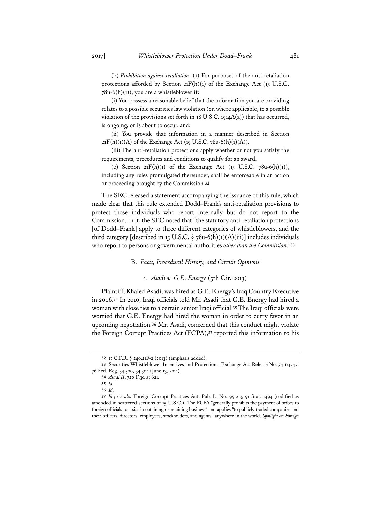(b) *Prohibition against retaliation*. (1) For purposes of the anti-retaliation protections afforded by Section  $21F(h)(1)$  of the Exchange Act (15 U.S.C.  $78u-6(h)(1)$ , you are a whistleblower if:

(i) You possess a reasonable belief that the information you are providing relates to a possible securities law violation (or, where applicable, to a possible violation of the provisions set forth in 18 U.S.C. 1514A(a)) that has occurred, is ongoing, or is about to occur, and;

(ii) You provide that information in a manner described in Section  $21F(h)(1)(A)$  of the Exchange Act (15 U.S.C. 78u-6(h)(1)(A)).

(iii) The anti-retaliation protections apply whether or not you satisfy the requirements, procedures and conditions to qualify for an award.

(2) Section  $21F(h)(1)$  of the Exchange Act (15 U.S.C. 78u-6(h)(1)), including any rules promulgated thereunder, shall be enforceable in an action or proceeding brought by the Commission.**<sup>32</sup>**

The SEC released a statement accompanying the issuance of this rule, which made clear that this rule extended Dodd–Frank's anti-retaliation provisions to protect those individuals who report internally but do not report to the Commission. In it, the SEC noted that "the statutory anti-retaliation protections [of Dodd–Frank] apply to three different categories of whistleblowers, and the third category [described in 15 U.S.C.  $\S$  78u-6(h)(1)(A)(iii)] includes individuals who report to persons or governmental authorities *other than the Commission*."**<sup>33</sup>**

#### B. *Facts, Procedural History, and Circuit Opinions*

#### 1. *Asadi v. G.E. Energy* (5th Cir. 2013)

Plaintiff, Khaled Asadi, was hired as G.E. Energy's Iraq Country Executive in 2006.**<sup>34</sup>** In 2010, Iraqi officials told Mr. Asadi that G.E. Energy had hired a woman with close ties to a certain senior Iraqi official.**<sup>35</sup>** The Iraqi officials were worried that G.E. Energy had hired the woman in order to curry favor in an upcoming negotiation.**<sup>36</sup>** Mr. Asadi, concerned that this conduct might violate the Foreign Corrupt Practices Act (FCPA),**<sup>37</sup>** reported this information to his

**<sup>32</sup>** 17 C.F.R. § 240.21F-2 (2013) (emphasis added).

**<sup>33</sup>** Securities Whistleblower Incentives and Protections, Exchange Act Release No. 34-64545, 76 Fed. Reg. 34,300, 34,304 (June 13, 2011).

**<sup>34</sup>** *Asadi II*, 720 F.3d at 621.

**<sup>35</sup>** *Id.* 

**<sup>36</sup>** *Id.* 

**<sup>37</sup>** *Id.*; *see also* Foreign Corrupt Practices Act, Pub. L. No. 95-213, 91 Stat. 1494 (codified as amended in scattered sections of 15 U.S.C.). The FCPA "generally prohibits the payment of bribes to foreign officials to assist in obtaining or retaining business" and applies "to publicly traded companies and their officers, directors, employees, stockholders, and agents" anywhere in the world. *Spotlight on Foreign*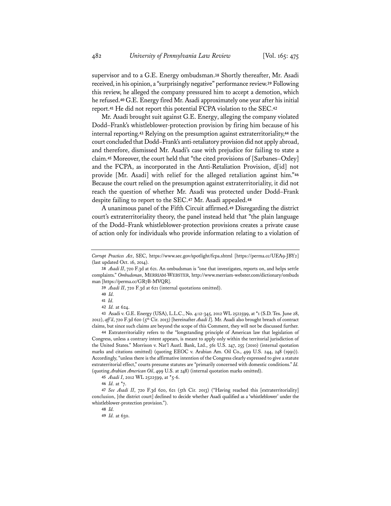supervisor and to a G.E. Energy ombudsman.**<sup>38</sup>** Shortly thereafter, Mr. Asadi received, in his opinion, a "surprisingly negative" performance review.**<sup>39</sup>** Following this review, he alleged the company pressured him to accept a demotion, which he refused.**<sup>40</sup>** G.E. Energy fired Mr. Asadi approximately one year after his initial report.**<sup>41</sup>** He did not report this potential FCPA violation to the SEC.**<sup>42</sup>**

Mr. Asadi brought suit against G.E. Energy, alleging the company violated Dodd–Frank's whistleblower-protection provision by firing him because of his internal reporting.**<sup>43</sup>** Relying on the presumption against extraterritoriality,**<sup>44</sup>** the court concluded that Dodd–Frank's anti-retaliatory provision did not apply abroad, and therefore, dismissed Mr. Asadi's case with prejudice for failing to state a claim.**<sup>45</sup>** Moreover, the court held that "the cited provisions of [Sarbanes–Oxley] and the FCPA, as incorporated in the Anti-Retaliation Provision, d[id] not provide [Mr. Asadi] with relief for the alleged retaliation against him."**<sup>46</sup>** Because the court relied on the presumption against extraterritoriality, it did not reach the question of whether Mr. Asadi was protected under Dodd–Frank despite failing to report to the SEC.**<sup>47</sup>** Mr. Asadi appealed.**<sup>48</sup>**

A unanimous panel of the Fifth Circuit affirmed.**<sup>49</sup>** Disregarding the district court's extraterritoriality theory, the panel instead held that "the plain language of the Dodd–Frank whistleblower-protection provisions creates a private cause of action only for individuals who provide information relating to a violation of

**44** Extraterritoriality refers to the "longstanding principle of American law that legislation of Congress, unless a contrary intent appears, is meant to apply only within the territorial jurisdiction of the United States." Morrison v. Nat'l Austl. Bank, Ltd., 561 U.S. 247, 255 (2010) (internal quotation marks and citations omitted) (quoting EEOC v. Arabian Am. Oil Co., 499 U.S. 244, 248 (1991)). Accordingly, "unless there is the affirmative intention of the Congress clearly expressed to give a statute extraterritorial effect," courts presume statutes are "primarily concerned with domestic conditions." *Id.* (quoting *Arabian American Oil*, 499 U.S. at 248) (internal quotation marks omitted).

*Corrupt Practices Act*, SEC, https://www.sec.gov/spotlight/fcpa.shtml [https://perma.cc/UEA9-JBY2] (last updated Oct. 16, 2014).

**<sup>38</sup>** *Asadi II*, 720 F.3d at 621. An ombudsman is "one that investigates, reports on, and helps settle complaints." *Ombudsman*, MERRIAM-WEBSTER, http://www.merriam-webster.com/dictionary/ombuds man [https://perma.cc/GR7B-MVQR].

**<sup>39</sup>** *Asadi II*, 720 F.3d at 621 (internal quotations omitted).

**<sup>40</sup>** *Id.*

**<sup>41</sup>** *Id.*

**<sup>42</sup>** *Id.* at 624.

**<sup>43</sup>** Asadi v. G.E. Energy (USA), L.L.C., No. 4:12-345, 2012 WL 2522599, at \*1 (S.D. Tex. June 28, 2012), *aff 'd*, 720 F.3d 620 (5th Cir. 2013) [hereinafter *Asadi I*]. Mr. Asadi also brought breach of contract claims, but since such claims are beyond the scope of this Comment, they will not be discussed further.

**<sup>45</sup>** *Asadi I*, 2012 WL 2522599, at \*5-6.

**<sup>46</sup>** *Id.* at \*7.

**<sup>47</sup>** *See Asadi II*, 720 F.3d 620, 621 (5th Cir. 2013) ("Having reached this [extraterritoriality] conclusion, [the district court] declined to decide whether Asadi qualified as a 'whistleblower' under the whistleblower-protection provision.").

**<sup>48</sup>** *Id.*

**<sup>49</sup>** *Id.* at 630.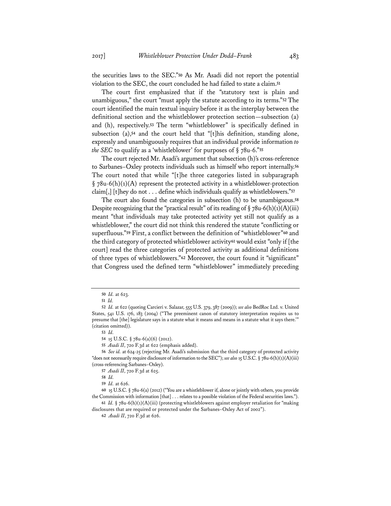the securities laws to the SEC."**<sup>50</sup>** As Mr. Asadi did not report the potential violation to the SEC, the court concluded he had failed to state a claim.**<sup>51</sup>**

The court first emphasized that if the "statutory text is plain and unambiguous," the court "must apply the statute according to its terms."**<sup>52</sup>** The court identified the main textual inquiry before it as the interplay between the definitional section and the whistleblower protection section—subsection (a) and (h), respectively.**<sup>53</sup>** The term "whistleblower" is specifically defined in subsection (a),**<sup>54</sup>** and the court held that "[t]his definition, standing alone, expressly and unambiguously requires that an individual provide information *to the SEC* to qualify as a 'whistleblower' for purposes of  $\S$  78u-6."<sup>55</sup>

The court rejected Mr. Asadi's argument that subsection (h)'s cross-reference to Sarbanes–Oxley protects individuals such as himself who report internally.**<sup>56</sup>** The court noted that while "[t]he three categories listed in subparagraph  $\S$  78u-6(h)(1)(A) represent the protected activity in a whistleblower-protection claim[,] [t]hey do not . . . define which individuals qualify as whistleblowers."**<sup>57</sup>**

The court also found the categories in subsection (h) to be unambiguous.**<sup>58</sup>** Despite recognizing that the "practical result" of its reading of  $\S$  78u-6(h)(1)(A)(iii) meant "that individuals may take protected activity yet still not qualify as a whistleblower," the court did not think this rendered the statute "conflicting or superfluous."**<sup>59</sup>** First, a conflict between the definition of "whistleblower"**<sup>60</sup>** and the third category of protected whistleblower activity**<sup>61</sup>** would exist "only if [the court] read the three categories of protected activity as additional definitions of three types of whistleblowers."**<sup>62</sup>** Moreover, the court found it "significant" that Congress used the defined term "whistleblower" immediately preceding

**55** *Asadi II*, 720 F.3d at 622 (emphasis added).

**56** *See id.* at 624-25 (rejecting Mr. Asadi's submission that the third category of protected activity "does not necessarily require disclosure of information to the SEC"); *see also* 15 U.S.C. § 78u-6(h)(1)(A)(iii) (cross-referencing Sarbanes–Oxley).

**<sup>50</sup>** *Id.* at 623.

**<sup>51</sup>** *Id.*

**<sup>52</sup>** *Id.* at 622 (quoting Carcieri v. Salazar, 555 U.S. 379, 387 (2009)); *see also* BedRoc Ltd. v. United States, 541 U.S. 176, 183 (2004) ("The preeminent canon of statutory interpretation requires us to presume that [the] legislature says in a statute what it means and means in a statute what it says there.'" (citation omitted)).

**<sup>53</sup>** *Id.*

**<sup>54</sup>** 15 U.S.C. § 78u-6(a)(6) (2012).

**<sup>57</sup>** *Asadi II*, 720 F.3d at 625.

**<sup>58</sup>** *Id.*

**<sup>59</sup>** *Id.* at 626.

**<sup>60</sup>** 15 U.S.C. § 78u-6(a) (2012) ("You are a whistleblower if, alone or jointly with others, you provide the Commission with information [that] . . . relates to a possible violation of the Federal securities laws."). **61** *Id.* § 78u-6(h)(1)(A)(iii) (protecting whistleblowers against employer retaliation for "making

disclosures that are required or protected under the Sarbanes–Oxley Act of 2002").

**<sup>62</sup>** *Asadi II*, 720 F.3d at 626.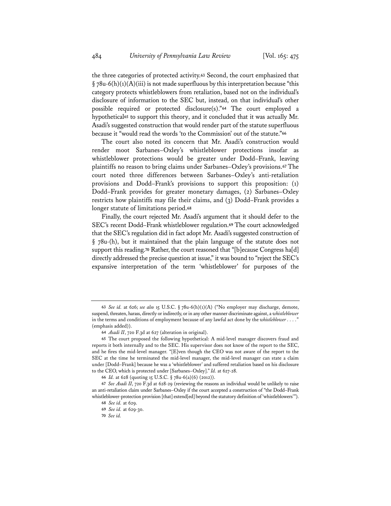the three categories of protected activity.**<sup>63</sup>** Second, the court emphasized that  $\S$  78u-6(h)(1)(A)(iii) is not made superfluous by this interpretation because "this category protects whistleblowers from retaliation, based not on the individual's disclosure of information to the SEC but, instead, on that individual's other possible required or protected disclosure(s)."**<sup>64</sup>** The court employed a hypothetical**<sup>65</sup>** to support this theory, and it concluded that it was actually Mr. Asadi's suggested construction that would render part of the statute superfluous because it "would read the words 'to the Commission' out of the statute."**<sup>66</sup>**

The court also noted its concern that Mr. Asadi's construction would render moot Sarbanes–Oxley's whistleblower protections insofar as whistleblower protections would be greater under Dodd–Frank, leaving plaintiffs no reason to bring claims under Sarbanes–Oxley's provisions.**<sup>67</sup>** The court noted three differences between Sarbanes–Oxley's anti-retaliation provisions and Dodd–Frank's provisions to support this proposition: (1) Dodd–Frank provides for greater monetary damages, (2) Sarbanes–Oxley restricts how plaintiffs may file their claims, and (3) Dodd–Frank provides a longer statute of limitations period.**<sup>68</sup>**

Finally, the court rejected Mr. Asadi's argument that it should defer to the SEC's recent Dodd–Frank whistleblower regulation.**<sup>69</sup>** The court acknowledged that the SEC's regulation did in fact adopt Mr. Asadi's suggested construction of § 78u-(h), but it maintained that the plain language of the statute does not support this reading.**<sup>70</sup>** Rather, the court reasoned that "[b]ecause Congress ha[d] directly addressed the precise question at issue," it was bound to "reject the SEC's expansive interpretation of the term 'whistleblower' for purposes of the

**<sup>63</sup>** *See id.* at 626; *see also* 15 U.S.C. § 78u-6(h)(1)(A) ("No employer may discharge, demote, suspend, threaten, harass, directly or indirectly, or in any other manner discriminate against, a *whistleblower* in the terms and conditions of employment because of any lawful act done by the *whistleblower* . . . . <sup>9</sup> (emphasis added)).

**<sup>64</sup>** *Asadi II*, 720 F.3d at 627 (alteration in original).

**<sup>65</sup>** The court proposed the following hypothetical: A mid-level manager discovers fraud and reports it both internally and to the SEC. His supervisor does not know of the report to the SEC, and he fires the mid-level manager. "[E]ven though the CEO was not aware of the report to the SEC at the time he terminated the mid-level manager, the mid-level manager can state a claim under [Dodd–Frank] because he was a 'whistleblower' and suffered retaliation based on his disclosure to the CEO, which is protected under [Sarbanes–Oxley]." *Id.* at 627-28.

**<sup>66</sup>** *Id.* at 628 (quoting 15 U.S.C. § 78u-6(a)(6) (2012)).

**<sup>67</sup>** *See Asadi II*, 720 F.3d at 628-29 (reviewing the reasons an individual would be unlikely to raise an anti-retaliation claim under Sarbanes–Oxley if the court accepted a construction of "the Dodd–Frank whistleblower-protection provision [that] extend[ed] beyond the statutory definition of 'whistleblowers'").

**<sup>68</sup>** *See id.* at 629.

**<sup>69</sup>** *See id.* at 629-30.

**<sup>70</sup>** *See id.*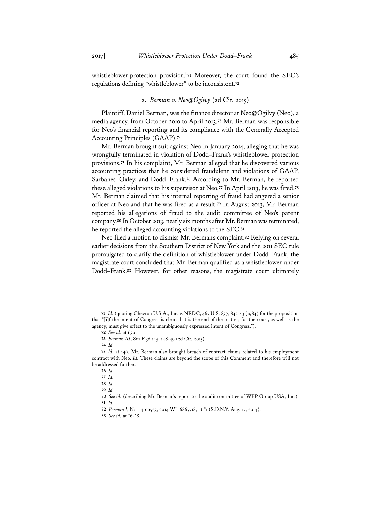whistleblower-protection provision."**<sup>71</sup>** Moreover, the court found the SEC's regulations defining "whistleblower" to be inconsistent.**<sup>72</sup>**

## 2. *Berman v. Neo@Ogilvy* (2d Cir. 2015)

Plaintiff, Daniel Berman, was the finance director at Neo@Ogilvy (Neo), a media agency, from October 2010 to April 2013.**<sup>73</sup>** Mr. Berman was responsible for Neo's financial reporting and its compliance with the Generally Accepted Accounting Principles (GAAP).**<sup>74</sup>**

Mr. Berman brought suit against Neo in January 2014, alleging that he was wrongfully terminated in violation of Dodd–Frank's whistleblower protection provisions.**<sup>75</sup>** In his complaint, Mr. Berman alleged that he discovered various accounting practices that he considered fraudulent and violations of GAAP, Sarbanes–Oxley, and Dodd–Frank.**<sup>76</sup>** According to Mr. Berman, he reported these alleged violations to his supervisor at Neo.**<sup>77</sup>** In April 2013, he was fired.**<sup>78</sup>** Mr. Berman claimed that his internal reporting of fraud had angered a senior officer at Neo and that he was fired as a result.**<sup>79</sup>** In August 2013, Mr. Berman reported his allegations of fraud to the audit committee of Neo's parent company.**<sup>80</sup>** In October 2013, nearly six months after Mr. Berman was terminated, he reported the alleged accounting violations to the SEC.**<sup>81</sup>**

Neo filed a motion to dismiss Mr. Berman's complaint.**<sup>82</sup>** Relying on several earlier decisions from the Southern District of New York and the 2011 SEC rule promulgated to clarify the definition of whistleblower under Dodd–Frank, the magistrate court concluded that Mr. Berman qualified as a whistleblower under Dodd–Frank.**<sup>83</sup>** However, for other reasons, the magistrate court ultimately

**<sup>71</sup>** *Id.* (quoting Chevron U.S.A., Inc. v. NRDC, 467 U.S. 837, 842-43 (1984) for the proposition that "[i]f the intent of Congress is clear, that is the end of the matter; for the court, as well as the agency, must give effect to the unambiguously expressed intent of Congress.").

**<sup>72</sup>** *See id.* at 630.

**<sup>73</sup>** *Berman III*, 801 F.3d 145, 148-49 (2d Cir. 2015).

**<sup>74</sup>** *Id.*

**<sup>75</sup>** *Id.* at 149. Mr. Berman also brought breach of contract claims related to his employment contract with Neo. *Id.* These claims are beyond the scope of this Comment and therefore will not be addressed further.

**<sup>76</sup>** *Id.* 

**<sup>77</sup>** *Id.*

**<sup>78</sup>** *Id.* 

**<sup>79</sup>** *Id.*

**<sup>80</sup>** *See id.* (describing Mr. Berman's report to the audit committee of WPP Group USA, Inc.). **81** *Id.*

**<sup>82</sup>** *Berman I*, No. 14-00523, 2014 WL 6865718, at \*1 (S.D.N.Y. Aug. 15, 2014).

**<sup>83</sup>** *See id.* at \*6-\*8.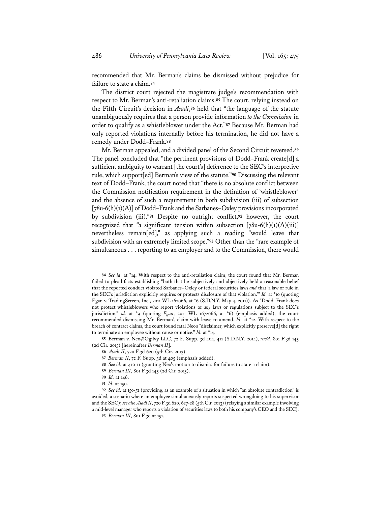recommended that Mr. Berman's claims be dismissed without prejudice for failure to state a claim.**<sup>84</sup>**

The district court rejected the magistrate judge's recommendation with respect to Mr. Berman's anti-retaliation claims.**<sup>85</sup>** The court, relying instead on the Fifth Circuit's decision in *Asadi*,**<sup>86</sup>** held that "the language of the statute unambiguously requires that a person provide information *to the Commission* in order to qualify as a whistleblower under the Act."**<sup>87</sup>** Because Mr. Berman had only reported violations internally before his termination, he did not have a remedy under Dodd–Frank.**<sup>88</sup>**

Mr. Berman appealed, and a divided panel of the Second Circuit reversed.**<sup>89</sup>** The panel concluded that "the pertinent provisions of Dodd–Frank create[d] a sufficient ambiguity to warrant [the court's] deference to the SEC's interpretive rule, which support[ed] Berman's view of the statute."**<sup>90</sup>** Discussing the relevant text of Dodd–Frank, the court noted that "there is no absolute conflict between the Commission notification requirement in the definition of 'whistleblower' and the absence of such a requirement in both subdivision (iii) of subsection [78u-6(h)(1)(A)] of Dodd–Frank and the Sarbanes–Oxley provisions incorporated by subdivision (iii)."**<sup>91</sup>** Despite no outright conflict,**<sup>92</sup>** however, the court recognized that "a significant tension within subsection  $[78u-6(h)(1)(A)(iii)]$ nevertheless remain[ed]," as applying such a reading "would leave that subdivision with an extremely limited scope."**<sup>93</sup>** Other than the "rare example of simultaneous . . . reporting to an employer and to the Commission, there would

**<sup>84</sup>** *See id.* at \*14. With respect to the anti-retaliation claim, the court found that Mr. Berman failed to plead facts establishing "both that he subjectively and objectively held a reasonable belief that the reported conduct violated Sarbanes–Oxley or federal securities laws *and* that 'a law or rule in the SEC's jurisdiction explicitly requires or protects disclosure of that violation.'" *Id.* at \*10 (quoting Egan v. TradingScreen, Inc., 2011 WL 162066, at \*6 (S.D.N.Y. May 4, 2011)). As "Dodd–Frank does not protect whistleblowers who report violations of *any* laws or regulations subject to the SEC's jurisdiction," *id.* at \*9 (quoting *Egan*, 2011 WL 1672066, at \*6) (emphasis added), the court recommended dismissing Mr. Berman's claim with leave to amend. *Id.* at \*12. With respect to the breach of contract claims, the court found fatal Neo's "disclaimer, which explicitly preserve[d] the right to terminate an employee without cause or notice." *Id.* at \*14.

**<sup>85</sup>** Berman v. Neo@Ogilvy LLC, 72 F. Supp. 3d 404, 411 (S.D.N.Y. 2014), *rev'd*, 801 F.3d 145 (2d Cir. 2015) [hereinafter *Berman II*].

**<sup>86</sup>** *Asadi II*, 720 F.3d 620 (5th Cir. 2013).

**<sup>87</sup>** *Berman II*, 72 F. Supp. 3d at 405 (emphasis added).

**<sup>88</sup>** *See id.* at 410-11 (granting Neo's motion to dismiss for failure to state a claim).

**<sup>89</sup>** *Berman III*, 801 F.3d 145 (2d Cir. 2015).

**<sup>90</sup>** *Id.* at 146.

**<sup>91</sup>** *Id.* at 150.

**<sup>92</sup>** *See id.* at 150-51 (providing, as an example of a situation in which "an absolute contradiction" is avoided, a scenario where an employee simultaneously reports suspected wrongdoing to his supervisor and the SEC); *see also Asadi II*, 720 F.3d 620, 627-28 (5th Cir. 2013) (relaying a similar example involving a mid-level manager who reports a violation of securities laws to both his company's CEO and the SEC).

**<sup>93</sup>** *Berman III*, 801 F.3d at 151.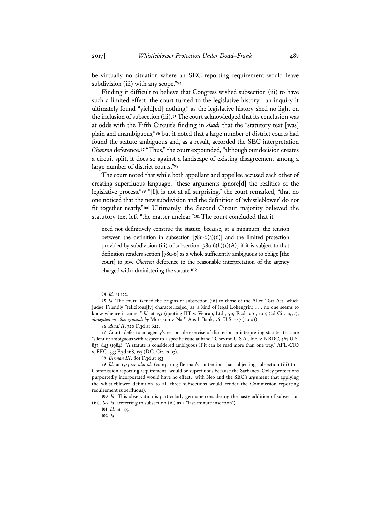be virtually no situation where an SEC reporting requirement would leave subdivision (iii) with any scope."**<sup>94</sup>**

Finding it difficult to believe that Congress wished subsection (iii) to have such a limited effect, the court turned to the legislative history—an inquiry it ultimately found "yield[ed] nothing," as the legislative history shed no light on the inclusion of subsection (iii).**<sup>95</sup>** The court acknowledged that its conclusion was at odds with the Fifth Circuit's finding in *Asadi* that the "statutory text [was] plain and unambiguous,"**<sup>96</sup>** but it noted that a large number of district courts had found the statute ambiguous and, as a result, accorded the SEC interpretation *Chevron* deference.**<sup>97</sup>** "Thus," the court expounded, "although our decision creates a circuit split, it does so against a landscape of existing disagreement among a large number of district courts."**<sup>98</sup>**

The court noted that while both appellant and appellee accused each other of creating superfluous language, "these arguments ignore[d] the realities of the legislative process."**<sup>99</sup>** "[I]t is not at all surprising," the court remarked, "that no one noticed that the new subdivision and the definition of 'whistleblower' do not fit together neatly."**<sup>100</sup>** Ultimately, the Second Circuit majority believed the statutory text left "the matter unclear."**<sup>101</sup>** The court concluded that it

need not definitively construe the statute, because, at a minimum, the tension between the definition in subsection  $[78u-6(a)(6)]$  and the limited protection provided by subdivision (iii) of subsection  $[78u-6(h)(1)(A)]$  if it is subject to that definition renders section [78u-6] as a whole sufficiently ambiguous to oblige [the court] to give *Chevron* deference to the reasonable interpretation of the agency charged with administering the statute.**<sup>102</sup>**

**<sup>94</sup>** *Id.* at 152.

**<sup>95</sup>** *Id.* The court likened the origins of subsection (iii) to those of the Alien Tort Act, which Judge Friendly "felicitous[ly] characterize[ed] as 'a kind of legal Lohengrin; . . . no one seems to know whence it came.'" *Id.* at 153 (quoting IIT v. Vencap, Ltd., 519 F.2d 1001, 1015 (2d Cir. 1975), *abrogated on other grounds by* Morrison v. Nat'l Austl. Bank, 561 U.S. 247 (2010)).

**<sup>96</sup>** *Asadi II*, 720 F.3d at 622.

**<sup>97</sup>** Courts defer to an agency's reasonable exercise of discretion in interpreting statutes that are "silent or ambiguous with respect to a specific issue at hand." Chevron U.S.A., Inc. v. NRDC, 467 U.S. 837, 843 (1984). "A statute is considered ambiguous if it can be read more than one way." AFL-CIO v. FEC, 333 F.3d 168, 173 (D.C. Cir. 2003).

**<sup>98</sup>** *Berman III*, 801 F.3d at 153.

**<sup>99</sup>** *Id.* at 154; *see also id.* (comparing Berman's contention that subjecting subsection (iii) to a Commission reporting requirement "would be superfluous because the Sarbanes–Oxley protections purportedly incorporated would have no effect," with Neo and the SEC's argument that applying the whistleblower definition to all three subsections would render the Commission reporting requirement superfluous).

**<sup>100</sup>** *Id.* This observation is particularly germane considering the hasty addition of subsection (iii). *See id.* (referring to subsection (iii) as a "last-minute insertion").

**<sup>101</sup>** *Id.* at 155. **102** *Id.*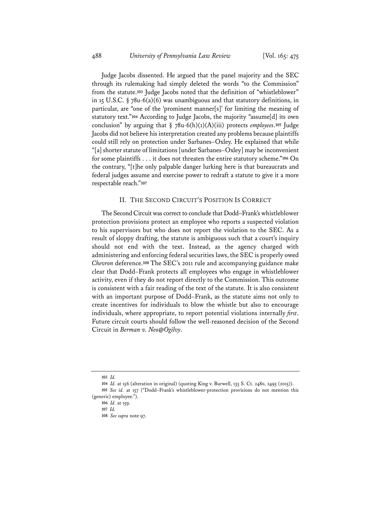Judge Jacobs dissented. He argued that the panel majority and the SEC through its rulemaking had simply deleted the words "to the Commission" from the statute.**<sup>103</sup>** Judge Jacobs noted that the definition of "whistleblower" in 15 U.S.C. § 78u-6(a)(6) was unambiguous and that statutory definitions, in particular, are "one of the 'prominent manner[s]' for limiting the meaning of statutory text."**<sup>104</sup>** According to Judge Jacobs, the majority "assume[d] its own conclusion" by arguing that § 78u-6(h)(1)(A)(iii) protects *employees*.**<sup>105</sup>** Judge Jacobs did not believe his interpretation created any problems because plaintiffs could still rely on protection under Sarbanes–Oxley. He explained that while "[a] shorter statute of limitations [under Sarbanes–Oxley] may be inconvenient for some plaintiffs . . . it does not threaten the entire statutory scheme."**<sup>106</sup>** On the contrary, "[t]he only palpable danger lurking here is that bureaucrats and federal judges assume and exercise power to redraft a statute to give it a more respectable reach."**<sup>107</sup>**

## II. THE SECOND CIRCUIT'S POSITION IS CORRECT

The Second Circuit was correct to conclude that Dodd–Frank's whistleblower protection provisions protect an employee who reports a suspected violation to his supervisors but who does not report the violation to the SEC. As a result of sloppy drafting, the statute is ambiguous such that a court's inquiry should not end with the text. Instead, as the agency charged with administering and enforcing federal securities laws, the SEC is properly owed *Chevron* deference.**<sup>108</sup>** The SEC's 2011 rule and accompanying guidance make clear that Dodd–Frank protects all employees who engage in whistleblower activity, even if they do not report directly to the Commission. This outcome is consistent with a fair reading of the text of the statute. It is also consistent with an important purpose of Dodd–Frank, as the statute aims not only to create incentives for individuals to blow the whistle but also to encourage individuals, where appropriate, to report potential violations internally *first*. Future circuit courts should follow the well-reasoned decision of the Second Circuit in *Berman v. Neo@Ogilvy*.

**<sup>103</sup>** *Id.* 

**<sup>104</sup>** *Id.* at 156 (alteration in original) (quoting King v. Burwell, 135 S. Ct. 2480, 2495 (2015)). **105** *See id.* at 157 ("Dodd–Frank's whistleblower-protection provisions do not mention this

<sup>(</sup>generic) employee.").

**<sup>106</sup>** *Id.* at 159.

**<sup>107</sup>** *Id.*

**<sup>108</sup>** *See supra* note 97.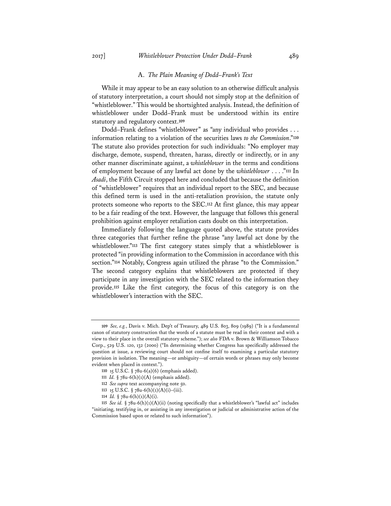#### A. *The Plain Meaning of Dodd–Frank's Text*

While it may appear to be an easy solution to an otherwise difficult analysis of statutory interpretation, a court should not simply stop at the definition of "whistleblower." This would be shortsighted analysis. Instead, the definition of whistleblower under Dodd–Frank must be understood within its entire statutory and regulatory context.**<sup>109</sup>**

Dodd–Frank defines "whistleblower" as "any individual who provides . . . information relating to a violation of the securities laws *to the Commission*."**<sup>110</sup>** The statute also provides protection for such individuals: "No employer may discharge, demote, suspend, threaten, harass, directly or indirectly, or in any other manner discriminate against, a *whistleblower* in the terms and conditions of employment because of any lawful act done by the *whistleblower* . . . ."**<sup>111</sup>** In *Asadi*, the Fifth Circuit stopped here and concluded that because the definition of "whistleblower" requires that an individual report to the SEC, and because this defined term is used in the anti-retaliation provision, the statute only protects someone who reports to the SEC.**<sup>112</sup>** At first glance, this may appear to be a fair reading of the text. However, the language that follows this general prohibition against employer retaliation casts doubt on this interpretation.

Immediately following the language quoted above, the statute provides three categories that further refine the phrase "any lawful act done by the whistleblower."**<sup>113</sup>** The first category states simply that a whistleblower is protected "in providing information to the Commission in accordance with this section."**<sup>114</sup>** Notably, Congress again utilized the phrase "to the Commission." The second category explains that whistleblowers are protected if they participate in any investigation with the SEC related to the information they provide.**<sup>115</sup>** Like the first category, the focus of this category is on the whistleblower's interaction with the SEC.

**<sup>109</sup>** *See, e.g.*, Davis v. Mich. Dep't of Treasury, 489 U.S. 803, 809 (1989) ("It is a fundamental canon of statutory construction that the words of a statute must be read in their context and with a view to their place in the overall statutory scheme."); *see also* FDA v. Brown & Williamson Tobacco Corp., 529 U.S. 120, 132 (2000) ("In determining whether Congress has specifically addressed the question at issue, a reviewing court should not confine itself to examining a particular statutory provision in isolation. The meaning—or ambiguity—of certain words or phrases may only become evident when placed in context.").

**<sup>110</sup>** 15 U.S.C. § 78u-6(a)(6) (emphasis added).

**<sup>111</sup>** *Id.* § 78u-6(h)(1)(A) (emphasis added).

**<sup>112</sup>** *See supra* text accompanying note 50.

**<sup>113</sup>** 15 U.S.C. § 78u-6(h)(1)(A)(i)–(iii).

**<sup>114</sup>** *Id.* § 78u-6(h)(1)(A)(i).

**<sup>115</sup>** *See id.* § 78u-6(h)(1)(A)(ii) (noting specifically that a whistleblower's "lawful act" includes "initiating, testifying in, or assisting in any investigation or judicial or administrative action of the Commission based upon or related to such information").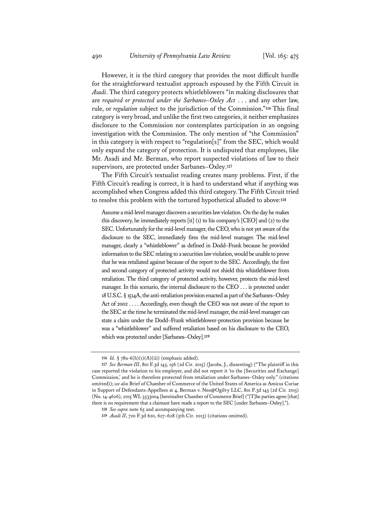However, it is the third category that provides the most difficult hurdle for the straightforward textualist approach espoused by the Fifth Circuit in *Asadi*. The third category protects whistleblowers "in making disclosures that are *required or protected under the Sarbanes–Oxley Act* . . . and any other law, rule, or *regulation* subject to the jurisdiction of the Commission."**<sup>116</sup>** This final category is very broad, and unlike the first two categories, it neither emphasizes disclosure to the Commission nor contemplates participation in an ongoing investigation with the Commission. The only mention of "the Commission" in this category is with respect to "regulation[s]" from the SEC, which would only expand the category of protection. It is undisputed that employees, like Mr. Asadi and Mr. Berman, who report suspected violations of law to their supervisors, are protected under Sarbanes–Oxley.**<sup>117</sup>**

The Fifth Circuit's textualist reading creates many problems. First, if the Fifth Circuit's reading is correct, it is hard to understand what if anything was accomplished when Congress added this third category. The Fifth Circuit tried to resolve this problem with the tortured hypothetical alluded to above:**<sup>118</sup>**

Assume a mid-level manager discovers a securities law violation. On the day he makes this discovery, he immediately reports [it] (1) to his company's [CEO] and (2) to the SEC. Unfortunately for the mid-level manager, the CEO, who is not yet aware of the disclosure to the SEC, immediately fires the mid-level manager. The mid-level manager, clearly a "whistleblower" as defined in Dodd–Frank because he provided information to the SEC relating to a securities law violation, would be unable to prove that he was retaliated against because of the report to the SEC. Accordingly, the first and second category of protected activity would not shield this whistleblower from retaliation. The third category of protected activity, however, protects the mid-level manager. In this scenario, the internal disclosure to the CEO . . . is protected under 18 U.S.C. § 1514A, the anti-retaliation provision enacted as part of the Sarbanes–Oxley Act of 2002 . . . . Accordingly, even though the CEO was not aware of the report to the SEC at the time he terminated the mid-level manager, the mid-level manager can state a claim under the Dodd–Frank whistleblower-protection provision because he was a "whistleblower" and suffered retaliation based on his disclosure to the CEO, which was protected under [Sarbanes–Oxley].**<sup>119</sup>**

**<sup>116</sup>** *Id.* § 78u-6(h)(1)(A)(iii) (emphasis added).

**<sup>117</sup>** *See Berman III*, 801 F.3d 145, 156 (2d Cir. 2015) (Jacobs, J., dissenting) ("The plaintiff in this case reported the violation to his employer, and did not report it 'to the [Securities and Exchange] Commission,' and he is therefore protected from retaliation under Sarbanes–Oxley only." (citations omitted)); *see also* Brief of Chamber of Commerce of the United States of America as Amicus Curiae in Support of Defendants-Appellees at 4, Berman v. Neo@Ogilvy LLC, 801 F.3d 145 (2d Cir. 2015) (No. 14-4626), 2015 WL 3533004 [hereinafter Chamber of Commerce Brief] ("[T]he parties agree [that] there is no requirement that a claimant have made a report to the SEC [under Sarbanes–Oxley].").

**<sup>118</sup>** *See supra* note 65 and accompanying text.

**<sup>119</sup>** *Asadi II*, 720 F.3d 620, 627–628 (5th Cir. 2013) (citations omitted).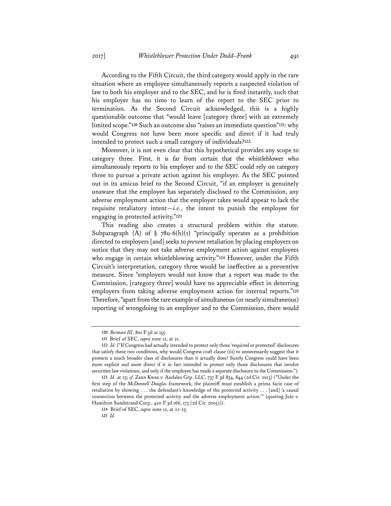According to the Fifth Circuit, the third category would apply in the rare situation where an employee simultaneously reports a suspected violation of law to both his employer and to the SEC, and he is fired instantly, such that his employer has no time to learn of the report to the SEC prior to termination. As the Second Circuit acknowledged, this is a highly questionable outcome that "would leave [category three] with an extremely limited scope."**<sup>120</sup>** Such an outcome also "raises an immediate question"**<sup>121</sup>**: why would Congress not have been more specific and direct if it had truly intended to protect such a small category of individuals?**<sup>122</sup>**

Moreover, it is not even clear that this hypothetical provides any scope to category three. First, it is far from certain that the whistleblower who simultaneously reports to his employer and to the SEC could rely on category three to pursue a private action against his employer. As the SEC pointed out in its amicus brief to the Second Circuit, "if an employer is genuinely unaware that the employee has separately disclosed to the Commission, any adverse employment action that the employer takes would appear to lack the requisite retaliatory intent—*i.e.*, the intent to punish the employee for engaging in protected activity."**<sup>123</sup>**

This reading also creates a structural problem within the statute. Subparagraph (A) of  $\S$  78u-6(h)(1) "principally operates as a prohibition directed to employers [and] seeks to *prevent* retaliation by placing employers on notice that they may not take adverse employment action against employees who engage in certain whistleblowing activity."**<sup>124</sup>** However, under the Fifth Circuit's interpretation, category three would be ineffective as a preventive measure. Since "employers would not know that a report was made to the Commission, [category three] would have no appreciable effect in deterring employers from taking adverse employment action for internal reports."**<sup>125</sup>** Therefore, "apart from the rare example of simultaneous (or nearly simultaneous) reporting of wrongdoing to an employer and to the Commission, there would

**<sup>120</sup>** *Berman III*, 801 F.3d at 155.

**<sup>121</sup>** Brief of SEC, *supra* note 12, at 21.

**<sup>122</sup>** *Id.* ("If Congress had actually intended to protect only those 'required or protected' disclosures that satisfy these two conditions, why would Congress craft clause (iii) to unnecessarily suggest that it protects a much broader class of disclosures than it actually does? Surely Congress could have been more explicit and more direct if it in fact intended to protect only those disclosures that involve securities law violations, and only if the employee has made a separate disclosure to the Commission.").

**<sup>123</sup>** *Id.* at 23; *cf.* Zann Kwan v. Andalex Grp. LLC, 737 F.3d 834, 844 (2d Cir. 2013) ("Under the first step of the *McDonnell Douglas* framework, the plaintiff must establish a prima facie case of retaliation by showing . . . the defendant's knowledge of the protected activity . . . [and] 'a causal connection between the protected activity and the adverse employment action.'" (quoting Jute v. Hamilton Sundstrand Corp., 420 F.3d 166, 173 (2d Cir. 2005))).

**<sup>124</sup>** Brief of SEC, *supra* note 12, at 22-23. **125** *Id.*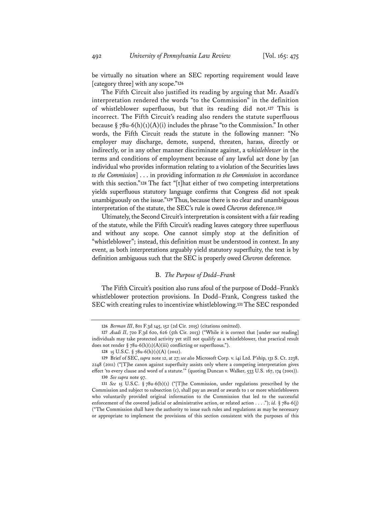be virtually no situation where an SEC reporting requirement would leave [category three] with any scope."**<sup>126</sup>**

The Fifth Circuit also justified its reading by arguing that Mr. Asadi's interpretation rendered the words "to the Commission" in the definition of whistleblower superfluous, but that its reading did not.**<sup>127</sup>** This is incorrect. The Fifth Circuit's reading also renders the statute superfluous because  $\S 78u-6(h)(1)(A)(i)$  includes the phrase "to the Commission." In other words, the Fifth Circuit reads the statute in the following manner: "No employer may discharge, demote, suspend, threaten, harass, directly or indirectly, or in any other manner discriminate against, a *whistleblower* in the terms and conditions of employment because of any lawful act done by [an individual who provides information relating to a violation of the Securities laws *to the Commission*] . . . in providing information *to the Commission* in accordance with this section."**<sup>128</sup>** The fact "[t]hat either of two competing interpretations yields superfluous statutory language confirms that Congress did not speak unambiguously on the issue."**<sup>129</sup>** Thus, because there is no clear and unambiguous interpretation of the statute, the SEC's rule is owed *Chevron* deference.**<sup>130</sup>**

Ultimately, the Second Circuit's interpretation is consistent with a fair reading of the statute, while the Fifth Circuit's reading leaves category three superfluous and without any scope. One cannot simply stop at the definition of "whistleblower"; instead, this definition must be understood in context. In any event, as both interpretations arguably yield statutory superfluity, the text is by definition ambiguous such that the SEC is properly owed *Chevron* deference.

## B. *The Purpose of Dodd–Frank*

The Fifth Circuit's position also runs afoul of the purpose of Dodd–Frank's whistleblower protection provisions. In Dodd–Frank, Congress tasked the SEC with creating rules to incentivize whistleblowing.**<sup>131</sup>** The SEC responded

**<sup>126</sup>** *Berman III*, 801 F.3d 145, 152 (2d Cir. 2015) (citations omitted).

<sup>127</sup> Asadi II, 720 F.3d 620, 626 (5th Cir. 2013) ("While it is correct that [under our reading] individuals may take protected activity yet still not qualify as a whistleblower, that practical result does not render  $\S$  78u-6(h)(1)(A)(iii) conflicting or superfluous.").

**<sup>128</sup>** 15 U.S.C. § 78u-6(h)(1)(A) (2012).

**<sup>129</sup>** Brief of SEC, *supra* note 12, at 27; *see also* Microsoft Corp. v. i4i Ltd. P'ship, 131 S. Ct. 2238, 2248 (2011) ("[T]he canon against superfluity assists only where a competing interpretation gives effect 'to every clause and word of a statute.'" (quoting Duncan v. Walker, 533 U.S. 167, 174 (2001)).

**<sup>130</sup>** *See supra* note 97.

**<sup>131</sup>** *See* 15 U.S.C. § 78u-6(b)(1) ("[T]he Commission, under regulations prescribed by the Commission and subject to subsection (c), shall pay an award or awards to 1 or more whistleblowers who voluntarily provided original information to the Commission that led to the successful enforcement of the covered judicial or administrative action, or related action . . . ."); *id.* § 78u-6(j) ("The Commission shall have the authority to issue such rules and regulations as may be necessary or appropriate to implement the provisions of this section consistent with the purposes of this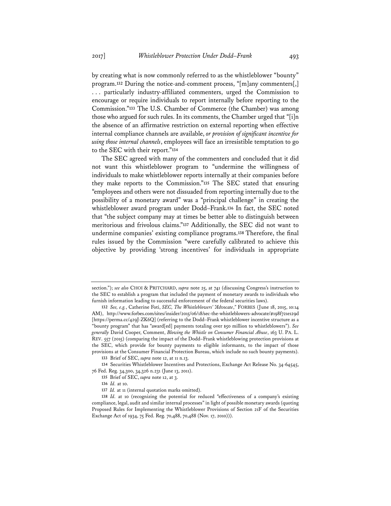by creating what is now commonly referred to as the whistleblower "bounty" program.**<sup>132</sup>** During the notice-and-comment process, "[m]any commenters[,] . . . particularly industry-affiliated commenters, urged the Commission to encourage or require individuals to report internally before reporting to the Commission."**<sup>133</sup>** The U.S. Chamber of Commerce (the Chamber) was among those who argued for such rules. In its comments, the Chamber urged that "[i]n the absence of an affirmative restriction on external reporting when effective internal compliance channels are available, *or provision of significant incentive for using those internal channels*, employees will face an irresistible temptation to go to the SEC with their report."**<sup>134</sup>**

The SEC agreed with many of the commenters and concluded that it did not want this whistleblower program to "undermine the willingness of individuals to make whistleblower reports internally at their companies before they make reports to the Commission."**<sup>135</sup>** The SEC stated that ensuring "employees and others were not dissuaded from reporting internally due to the possibility of a monetary award" was a "principal challenge" in creating the whistleblower award program under Dodd–Frank.**<sup>136</sup>** In fact, the SEC noted that "the subject company may at times be better able to distinguish between meritorious and frivolous claims."**<sup>137</sup>** Additionally, the SEC did not want to undermine companies' existing compliance programs.**<sup>138</sup>** Therefore, the final rules issued by the Commission "were carefully calibrated to achieve this objective by providing 'strong incentives' for individuals in appropriate

section."); *see also* CHOI & PRITCHARD, *supra* note 25, at 741 (discussing Congress's instruction to the SEC to establish a program that included the payment of monetary awards to individuals who furnish information leading to successful enforcement of the federal securities laws).

**<sup>132</sup>** *See, e.g.*, Catherine Foti, *SEC, The Whistleblowers' "Advocate*,*"* FORBES (June 18, 2015, 10:14 AM), http://www.forbes.com/sites/insider/2015/06/18/sec-the-whistleblowers-advocate/#198f721e129d [https://perma.cc/429J-ZK6Q] (referring to the Dodd–Frank whistleblower incentive structure as a "bounty program" that has "award[ed] payments totaling over \$50 million to whistleblowers"). *See generally* David Cooper, Comment, *Blowing the Whistle on Consumer Financial Abuse*, 163 U. PA. L. REV. 557 (2015) (comparing the impact of the Dodd–Frank whistleblowing protection provisions at the SEC, which provide for bounty payments to eligible informants, to the impact of those provisions at the Consumer Financial Protection Bureau, which include no such bounty payments).

**<sup>133</sup>** Brief of SEC, *supra* note 12, at 11 n.13.

**<sup>134</sup>** Securities Whistleblower Incentives and Protections, Exchange Act Release No. 34-64545, 76 Fed. Reg. 34,300, 34,326 n.231 (June 13, 2011).

**<sup>135</sup>** Brief of SEC, *supra* note 12, at 3.

**<sup>136</sup>** *Id.* at 10.

**<sup>137</sup>** *Id.* at 11 (internal quotation marks omitted).

**<sup>138</sup>** *Id.* at 10 (recognizing the potential for reduced "effectiveness of a company's existing compliance, legal, audit and similar internal processes" in light of possible monetary awards (quoting Proposed Rules for Implementing the Whistleblower Provisions of Section 21F of the Securities Exchange Act of 1934, 75 Fed. Reg. 70,488, 70,488 (Nov. 17, 2010))).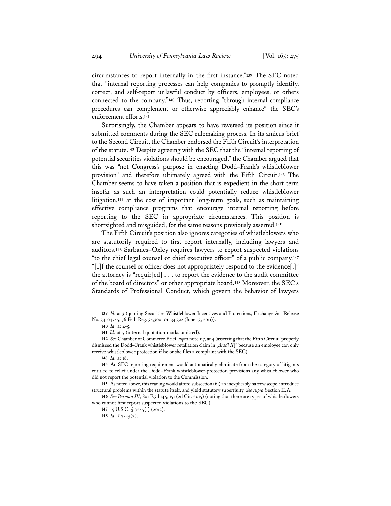circumstances to report internally in the first instance."**<sup>139</sup>** The SEC noted that "internal reporting processes can help companies to promptly identify, correct, and self-report unlawful conduct by officers, employees, or others connected to the company."**<sup>140</sup>** Thus, reporting "through internal compliance procedures can complement or otherwise appreciably enhance" the SEC's enforcement efforts.**<sup>141</sup>**

Surprisingly, the Chamber appears to have reversed its position since it submitted comments during the SEC rulemaking process. In its amicus brief to the Second Circuit, the Chamber endorsed the Fifth Circuit's interpretation of the statute.**<sup>142</sup>** Despite agreeing with the SEC that the "internal reporting of potential securities violations should be encouraged," the Chamber argued that this was "not Congress's purpose in enacting Dodd–Frank's whistleblower provision" and therefore ultimately agreed with the Fifth Circuit.**<sup>143</sup>** The Chamber seems to have taken a position that is expedient in the short-term insofar as such an interpretation could potentially reduce whistleblower litigation,**<sup>144</sup>** at the cost of important long-term goals, such as maintaining effective compliance programs that encourage internal reporting before reporting to the SEC in appropriate circumstances. This position is shortsighted and misguided, for the same reasons previously asserted.**<sup>145</sup>**

The Fifth Circuit's position also ignores categories of whistleblowers who are statutorily required to first report internally, including lawyers and auditors.**<sup>146</sup>** Sarbanes–Oxley requires lawyers to report suspected violations "to the chief legal counsel or chief executive officer" of a public company.**<sup>147</sup>** "[I]f the counsel or officer does not appropriately respond to the evidence[,]" the attorney is "requir[ed] . . . to report the evidence to the audit committee of the board of directors" or other appropriate board.**<sup>148</sup>** Moreover, the SEC's Standards of Professional Conduct, which govern the behavior of lawyers

**<sup>139</sup>** *Id.* at 3 (quoting Securities Whistleblower Incentives and Protections, Exchange Act Release No. 34-64545, 76 Fed. Reg. 34,300–01, 34,322 (June 13, 2011)).

**<sup>140</sup>** *Id.* at 4-5.

**<sup>141</sup>** *Id.* at 5 (internal quotation marks omitted).

**<sup>142</sup>** *See* Chamber of Commerce Brief, *supra* note 117, at 4 (asserting that the Fifth Circuit "properly dismissed the Dodd–Frank whistleblower retaliation claim in [*Asadi II*]" because an employee can only receive whistleblower protection if he or she files a complaint with the SEC).

**<sup>143</sup>** *Id.* at 18.

**<sup>144</sup>** An SEC reporting requirement would automatically eliminate from the category of litigants entitled to relief under the Dodd–Frank whistleblower-protection provisions any whistleblower who did not report the potential violation to the Commission.

**<sup>145</sup>** As noted above, this reading would afford subsection (iii) an inexplicably narrow scope, introduce structural problems within the statute itself, and yield statutory superfluity. *See supra* Section II.A.

**<sup>146</sup>** *See Berman III*, 801 F.3d 145, 151 (2d Cir. 2015) (noting that there are types of whistleblowers who cannot first report suspected violations to the SEC).

**<sup>147</sup>** 15 U.S.C. § 7245(1) (2012).

**<sup>148</sup>** *Id.* § 7245(2).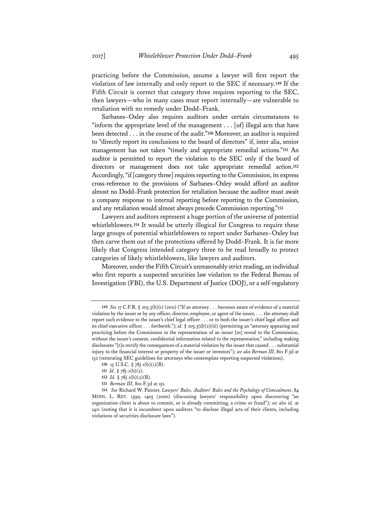practicing before the Commission, assume a lawyer will first report the violation of law internally and only report to the SEC if necessary.**<sup>149</sup>** If the Fifth Circuit is correct that category three requires reporting to the SEC, then lawyers—who in many cases must report internally—are vulnerable to retaliation with no remedy under Dodd–Frank.

Sarbanes–Oxley also requires auditors under certain circumstances to "inform the appropriate level of the management  $\ldots$  [of] illegal acts that have been detected . . . in the course of the audit."**<sup>150</sup>** Moreover, an auditor is required to "directly report its conclusions to the board of directors" if, inter alia, senior management has not taken "timely and appropriate remedial actions."**<sup>151</sup>** An auditor is permitted to report the violation to the SEC only if the board of directors or management does not take appropriate remedial action.**<sup>152</sup>** Accordingly, "if [category three] requires reporting to the Commission, its express cross-reference to the provisions of Sarbanes–Oxley would afford an auditor almost no Dodd–Frank protection for retaliation because the auditor must await a company response to internal reporting before reporting to the Commission, and any retaliation would almost always precede Commission reporting."**<sup>153</sup>**

Lawyers and auditors represent a huge portion of the universe of potential whistleblowers.**<sup>154</sup>** It would be utterly illogical for Congress to require these large groups of potential whistleblowers to report under Sarbanes–Oxley but then carve them out of the protections offered by Dodd–Frank. It is far more likely that Congress intended category three to be read broadly to protect categories of likely whistleblowers, like lawyers and auditors.

Moreover, under the Fifth Circuit's unreasonably strict reading, an individual who first reports a suspected securities law violation to the Federal Bureau of Investigation (FBI), the U.S. Department of Justice (DOJ), or a self-regulatory

- **151** *Id.* § 78j-1(b)(2).
- **152** *Id.* § 78j-1(b)(2)(B).
- **153** *Berman III*, 801 F.3d at 151.

**<sup>149</sup>** *See* 17 C.F.R. § 205.3(b)(1) (2011) ("If an attorney . . . becomes aware of evidence of a material violation by the issuer or by any officer, director, employee, or agent of the issuer, . . . the attorney shall report such evidence to the issuer's chief legal officer . . . or to both the issuer's chief legal officer and its chief executive officer . . . forthwith."); *id.* § 205.3(d)(2)(iii) (permitting an "attorney appearing and practicing before the Commission in the representation of an issuer [to] reveal to the Commission, without the issuer's consent, confidential information related to the representation," including making disclosures "[t]o rectify the consequences of a material violation by the issuer that caused . . . substantial injury to the financial interest or property of the issuer or investors"); *see also Berman III*, 801 F.3d at 152 (reiterating SEC guidelines for attorneys who contemplate reporting suspected violations).

**<sup>150</sup>** 15 U.S.C. § 78j-1(b)(1)(B).

**<sup>154</sup>** *See* Richard W. Painter, *Lawyers' Rules, Auditors' Rules and the Psychology of Concealment*, 84 MINN. L. REV. 1399, 1405 (2000) (discussing lawyers' responsibility upon discovering "an organization client is about to commit, or is already committing, a crime or fraud"); *see also id.* at 1411 (noting that it is incumbent upon auditors "to disclose illegal acts of their clients, including violations of securities disclosure laws").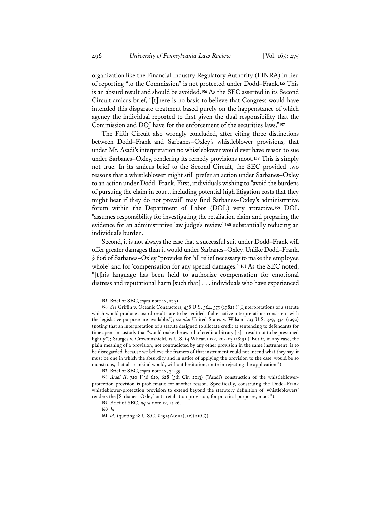organization like the Financial Industry Regulatory Authority (FINRA) in lieu of reporting "to the Commission" is not protected under Dodd–Frank.**<sup>155</sup>** This is an absurd result and should be avoided.**<sup>156</sup>** As the SEC asserted in its Second Circuit amicus brief, "[t]here is no basis to believe that Congress would have intended this disparate treatment based purely on the happenstance of which agency the individual reported to first given the dual responsibility that the Commission and DOJ have for the enforcement of the securities laws."**<sup>157</sup>**

The Fifth Circuit also wrongly concluded, after citing three distinctions between Dodd–Frank and Sarbanes–Oxley's whistleblower provisions, that under Mr. Asadi's interpretation no whistleblower would ever have reason to sue under Sarbanes–Oxley, rendering its remedy provisions moot.**<sup>158</sup>** This is simply not true. In its amicus brief to the Second Circuit, the SEC provided two reasons that a whistleblower might still prefer an action under Sarbanes–Oxley to an action under Dodd–Frank. First, individuals wishing to "avoid the burdens of pursuing the claim in court, including potential high litigation costs that they might bear if they do not prevail" may find Sarbanes–Oxley's administrative forum within the Department of Labor (DOL) very attractive.**<sup>159</sup>** DOL "assumes responsibility for investigating the retaliation claim and preparing the evidence for an administrative law judge's review,"**<sup>160</sup>** substantially reducing an individual's burden.

Second, it is not always the case that a successful suit under Dodd–Frank will offer greater damages than it would under Sarbanes–Oxley. Unlike Dodd–Frank, § 806 of Sarbanes–Oxley "provides for 'all relief necessary to make the employee whole' and for 'compensation for any special damages.'"**<sup>161</sup>** As the SEC noted, "[t]his language has been held to authorize compensation for emotional distress and reputational harm [such that] . . . individuals who have experienced

**157** Brief of SEC, *supra* note 12, 34-35.

**160** *Id.* 

**<sup>155</sup>** Brief of SEC, *supra* note 12, at 31.

**<sup>156</sup>** *See* Griffin v. Oceanic Contractors, 458 U.S. 564, 575 (1982) ("[I]nterpretations of a statute which would produce absurd results are to be avoided if alternative interpretations consistent with the legislative purpose are available."); *see also* United States v. Wilson, 503 U.S. 329, 334 (1992) (noting that an interpretation of a statute designed to allocate credit at sentencing to defendants for time spent in custody that "would make the award of credit arbitrary [is] a result not to be presumed lightly"); Sturges v. Crowninshield, 17 U.S. (4 Wheat.) 122, 202-03 (1819) ("But if, in any case, the plain meaning of a provision, not contradicted by any other provision in the same instrument, is to be disregarded, because we believe the framers of that instrument could not intend what they say, it must be one in which the absurdity and injustice of applying the provision to the case, would be so monstrous, that all mankind would, without hesitation, unite in rejecting the application.").

**<sup>158</sup>** *Asadi II*, 720 F.3d 620, 628 (5th Cir. 2013) ("Asadi's construction of the whistleblowerprotection provision is problematic for another reason. Specifically, construing the Dodd–Frank whistleblower-protection provision to extend beyond the statutory definition of 'whistleblowers' renders the [Sarbanes–Oxley] anti-retaliation provision, for practical purposes, moot.").

**<sup>159</sup>** Brief of SEC, *supra* note 12, at 26.

**<sup>161</sup>** *Id.* (quoting 18 U.S.C. § 1514A(c)(1), (c)(2)(C)).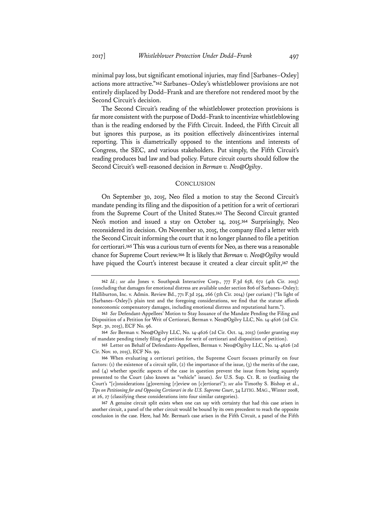minimal pay loss, but significant emotional injuries, may find [Sarbanes–Oxley] actions more attractive."**<sup>162</sup>** Sarbanes–Oxley's whistleblower provisions are not entirely displaced by Dodd–Frank and are therefore not rendered moot by the Second Circuit's decision.

The Second Circuit's reading of the whistleblower protection provisions is far more consistent with the purpose of Dodd–Frank to incentivize whistleblowing than is the reading endorsed by the Fifth Circuit. Indeed, the Fifth Circuit all but ignores this purpose, as its position effectively *dis*incentivizes internal reporting. This is diametrically opposed to the intentions and interests of Congress, the SEC, and various stakeholders. Put simply, the Fifth Circuit's reading produces bad law and bad policy. Future circuit courts should follow the Second Circuit's well-reasoned decision in *Berman v. Neo@Ogilvy*.

## **CONCLUSION**

On September 30, 2015, Neo filed a motion to stay the Second Circuit's mandate pending its filing and the disposition of a petition for a writ of certiorari from the Supreme Court of the United States.**<sup>163</sup>** The Second Circuit granted Neo's motion and issued a stay on October 14, 2015.**<sup>164</sup>** Surprisingly, Neo reconsidered its decision. On November 10, 2015, the company filed a letter with the Second Circuit informing the court that it no longer planned to file a petition for certiorari.**<sup>165</sup>** This was a curious turn of events for Neo, as there was a reasonable chance for Supreme Court review.**<sup>166</sup>** It is likely that *Berman v. Neo@Ogilvy* would have piqued the Court's interest because it created a clear circuit split,**<sup>167</sup>** the

**<sup>162</sup>** *Id.*; *see also* Jones v. Southpeak Interactive Corp., 777 F.3d 658, 672 (4th Cir. 2015) (concluding that damages for emotional distress are available under section 806 of Sarbanes–Oxley); Halliburton, Inc. v. Admin. Review Bd., 771 F.3d 254, 266 (5th Cir. 2014) (per curiam) ("In light of [Sarbanes–Oxley]'s plain text and the foregoing considerations, we find that the statute affords noneconomic compensatory damages, including emotional distress and reputational harm.").

**<sup>163</sup>** *See* Defendant-Appellees' Motion to Stay Issuance of the Mandate Pending the Filing and Disposition of a Petition for Writ of Certiorari, Berman v. Neo@Ogilvy LLC, No. 14-4626 (2d Cir. Sept. 30, 2015), ECF No. 96.

**<sup>164</sup>** *See* Berman v. Neo@Ogilvy LLC, No. 14-4626 (2d Cir. Oct. 14, 2015) (order granting stay of mandate pending timely filing of petition for writ of certiorari and disposition of petition).

**<sup>165</sup>** Letter on Behalf of Defendants-Appellees, Berman v. Neo@Ogilvy LLC, No. 14-4626 (2d Cir. Nov. 10, 2015), ECF No. 99.

**<sup>166</sup>** When evaluating a certiorari petition, the Supreme Court focuses primarily on four factors: (1) the existence of a circuit split, (2) the importance of the issue, (3) the merits of the case, and (4) whether specific aspects of the case in question prevent the issue from being squarely presented to the Court (also known as "vehicle" issues). *See* U.S. Sup. Ct. R. 10 (outlining the Court's "[c]onsiderations [g]overning [r]eview on [c]ertiorari"); *see also* Timothy S. Bishop et al., *Tips on Petitioning for and Opposing Certiorari in the U.S. Supreme Court*, 34 LITIG. MAG., Winter 2008, at 26, 27 (classifying these considerations into four similar categories).

**<sup>167</sup>** A genuine circuit split exists when one can say with certainty that had this case arisen in another circuit, a panel of the other circuit would be bound by its own precedent to reach the opposite conclusion in the case. Here, had Mr. Berman's case arisen in the Fifth Circuit, a panel of the Fifth